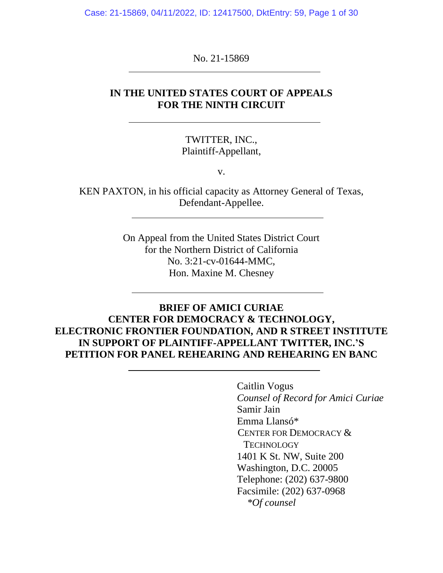Case: 21-15869, 04/11/2022, ID: 12417500, DktEntry: 59, Page 1 of 30

No. 21-15869

### **IN THE UNITED STATES COURT OF APPEALS FOR THE NINTH CIRCUIT**

TWITTER, INC., Plaintiff-Appellant,

v.

KEN PAXTON, in his official capacity as Attorney General of Texas, Defendant-Appellee.

> On Appeal from the United States District Court for the Northern District of California No. 3:21-cv-01644-MMC, Hon. Maxine M. Chesney

# **BRIEF OF AMICI CURIAE CENTER FOR DEMOCRACY & TECHNOLOGY, ELECTRONIC FRONTIER FOUNDATION, AND R STREET INSTITUTE IN SUPPORT OF PLAINTIFF-APPELLANT TWITTER, INC.'S PETITION FOR PANEL REHEARING AND REHEARING EN BANC**

Caitlin Vogus *Counsel of Record for Amici Curiae* Samir Jain Emma Llansó\* CENTER FOR DEMOCRACY & **TECHNOLOGY** 1401 K St. NW, Suite 200 Washington, D.C. 20005 Telephone: (202) 637-9800 Facsimile: (202) 637-0968  *\*Of counsel*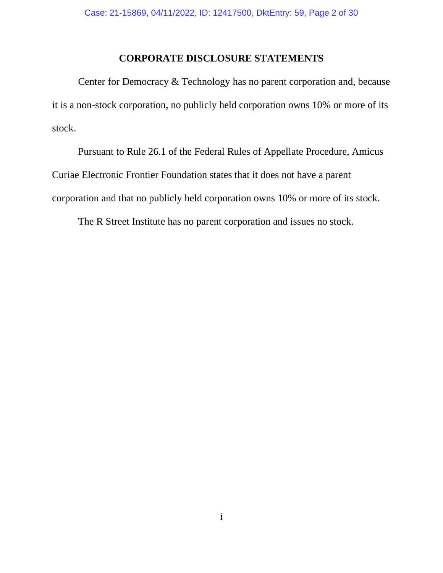### **CORPORATE DISCLOSURE STATEMENTS**

Center for Democracy & Technology has no parent corporation and, because it is a non-stock corporation, no publicly held corporation owns 10% or more of its stock.

Pursuant to Rule 26.1 of the Federal Rules of Appellate Procedure, Amicus Curiae Electronic Frontier Foundation states that it does not have a parent corporation and that no publicly held corporation owns 10% or more of its stock.

The R Street Institute has no parent corporation and issues no stock.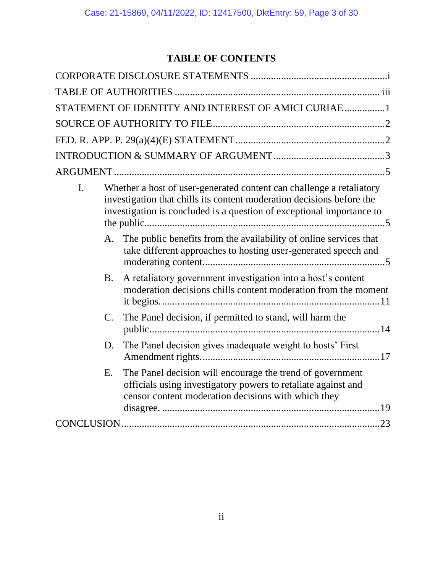# **TABLE OF CONTENTS**

|                                                                                                                                                                                                                              | STATEMENT OF IDENTITY AND INTEREST OF AMICI CURIAE 1                                                                                                                              |  |
|------------------------------------------------------------------------------------------------------------------------------------------------------------------------------------------------------------------------------|-----------------------------------------------------------------------------------------------------------------------------------------------------------------------------------|--|
|                                                                                                                                                                                                                              |                                                                                                                                                                                   |  |
|                                                                                                                                                                                                                              |                                                                                                                                                                                   |  |
|                                                                                                                                                                                                                              |                                                                                                                                                                                   |  |
|                                                                                                                                                                                                                              |                                                                                                                                                                                   |  |
| Whether a host of user-generated content can challenge a retaliatory<br>I.<br>investigation that chills its content moderation decisions before the<br>investigation is concluded is a question of exceptional importance to |                                                                                                                                                                                   |  |
|                                                                                                                                                                                                                              | A. The public benefits from the availability of online services that<br>take different approaches to hosting user-generated speech and                                            |  |
| <b>B.</b>                                                                                                                                                                                                                    | A retaliatory government investigation into a host's content<br>moderation decisions chills content moderation from the moment                                                    |  |
| $\mathcal{C}$ .                                                                                                                                                                                                              | The Panel decision, if permitted to stand, will harm the                                                                                                                          |  |
| D.                                                                                                                                                                                                                           | The Panel decision gives inadequate weight to hosts' First                                                                                                                        |  |
| E.                                                                                                                                                                                                                           | The Panel decision will encourage the trend of government<br>officials using investigatory powers to retaliate against and<br>censor content moderation decisions with which they |  |
|                                                                                                                                                                                                                              |                                                                                                                                                                                   |  |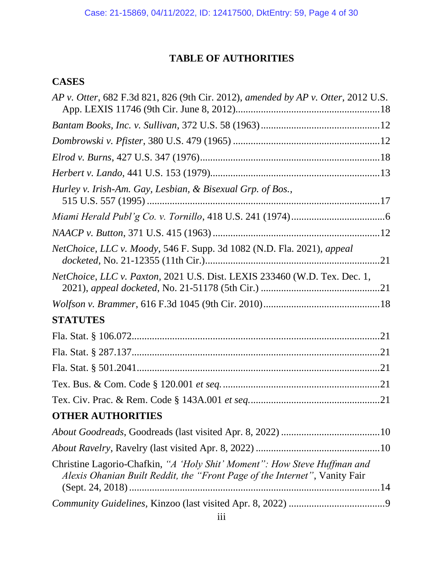# **TABLE OF AUTHORITIES**

# **CASES**

| AP v. Otter, 682 F.3d 821, 826 (9th Cir. 2012), amended by AP v. Otter, 2012 U.S.                                                                      |
|--------------------------------------------------------------------------------------------------------------------------------------------------------|
|                                                                                                                                                        |
|                                                                                                                                                        |
|                                                                                                                                                        |
|                                                                                                                                                        |
| Hurley v. Irish-Am. Gay, Lesbian, & Bisexual Grp. of Bos.,                                                                                             |
|                                                                                                                                                        |
|                                                                                                                                                        |
| NetChoice, LLC v. Moody, 546 F. Supp. 3d 1082 (N.D. Fla. 2021), appeal                                                                                 |
| NetChoice, LLC v. Paxton, 2021 U.S. Dist. LEXIS 233460 (W.D. Tex. Dec. 1,                                                                              |
|                                                                                                                                                        |
| <b>STATUTES</b>                                                                                                                                        |
|                                                                                                                                                        |
|                                                                                                                                                        |
|                                                                                                                                                        |
|                                                                                                                                                        |
|                                                                                                                                                        |
| <b>OTHER AUTHORITIES</b>                                                                                                                               |
|                                                                                                                                                        |
|                                                                                                                                                        |
| Christine Lagorio-Chafkin, "A 'Holy Shit' Moment": How Steve Huffman and<br>Alexis Ohanian Built Reddit, the "Front Page of the Internet", Vanity Fair |
|                                                                                                                                                        |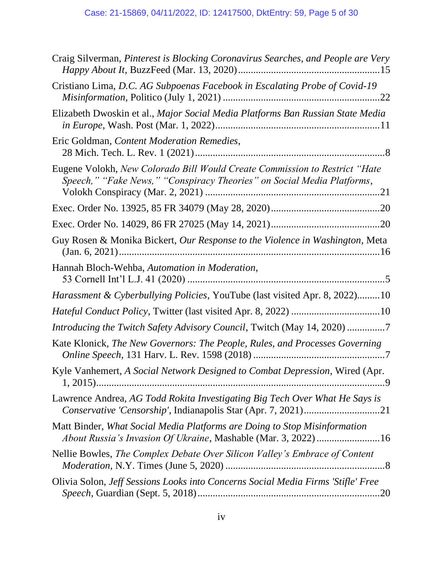| Craig Silverman, Pinterest is Blocking Coronavirus Searches, and People are Very                                                                     |
|------------------------------------------------------------------------------------------------------------------------------------------------------|
| Cristiano Lima, D.C. AG Subpoenas Facebook in Escalating Probe of Covid-19                                                                           |
| Elizabeth Dwoskin et al., Major Social Media Platforms Ban Russian State Media                                                                       |
| Eric Goldman, Content Moderation Remedies,                                                                                                           |
| Eugene Volokh, New Colorado Bill Would Create Commission to Restrict "Hate<br>Speech," "Fake News," "Conspiracy Theories" on Social Media Platforms, |
|                                                                                                                                                      |
|                                                                                                                                                      |
| Guy Rosen & Monika Bickert, Our Response to the Violence in Washington, Meta                                                                         |
| Hannah Bloch-Wehba, Automation in Moderation,                                                                                                        |
| Harassment & Cyberbullying Policies, YouTube (last visited Apr. 8, 2022)10                                                                           |
|                                                                                                                                                      |
| Introducing the Twitch Safety Advisory Council, Twitch (May 14, 2020) 7                                                                              |
| Kate Klonick, The New Governors: The People, Rules, and Processes Governing                                                                          |
| Kyle Vanhemert, A Social Network Designed to Combat Depression, Wired (Apr.                                                                          |
| Lawrence Andrea, AG Todd Rokita Investigating Big Tech Over What He Says is<br>Conservative 'Censorship', Indianapolis Star (Apr. 7, 2021)21         |
| Matt Binder, What Social Media Platforms are Doing to Stop Misinformation<br>About Russia's Invasion Of Ukraine, Mashable (Mar. 3, 2022) 16          |
| Nellie Bowles, The Complex Debate Over Silicon Valley's Embrace of Content                                                                           |
| Olivia Solon, Jeff Sessions Looks into Concerns Social Media Firms 'Stifle' Free                                                                     |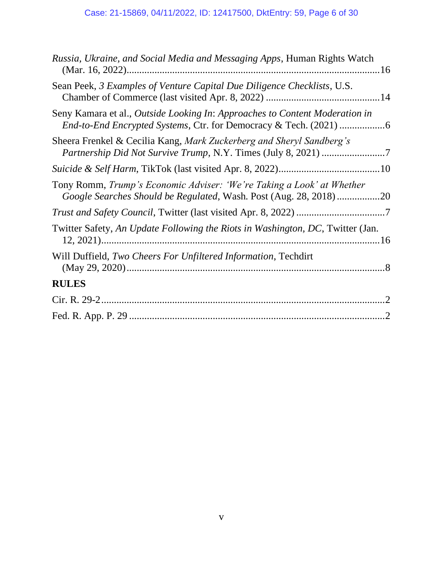| Russia, Ukraine, and Social Media and Messaging Apps, Human Rights Watch                                                                   |
|--------------------------------------------------------------------------------------------------------------------------------------------|
| Sean Peek, 3 Examples of Venture Capital Due Diligence Checklists, U.S.                                                                    |
| Seny Kamara et al., Outside Looking In: Approaches to Content Moderation in                                                                |
| Sheera Frenkel & Cecilia Kang, Mark Zuckerberg and Sheryl Sandberg's                                                                       |
|                                                                                                                                            |
| Tony Romm, Trump's Economic Adviser: 'We're Taking a Look' at Whether<br>Google Searches Should be Regulated, Wash. Post (Aug. 28, 2018)20 |
|                                                                                                                                            |
| Twitter Safety, An Update Following the Riots in Washington, DC, Twitter (Jan.                                                             |
| Will Duffield, Two Cheers For Unfiltered Information, Techdirt                                                                             |
| <b>RULES</b>                                                                                                                               |
|                                                                                                                                            |
|                                                                                                                                            |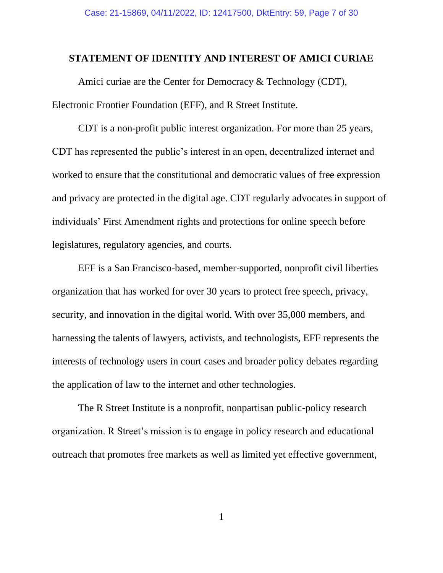### **STATEMENT OF IDENTITY AND INTEREST OF AMICI CURIAE**

Amici curiae are the Center for Democracy & Technology (CDT), Electronic Frontier Foundation (EFF), and R Street Institute.

CDT is a non-profit public interest organization. For more than 25 years, CDT has represented the public's interest in an open, decentralized internet and worked to ensure that the constitutional and democratic values of free expression and privacy are protected in the digital age. CDT regularly advocates in support of individuals' First Amendment rights and protections for online speech before legislatures, regulatory agencies, and courts.

EFF is a San Francisco-based, member-supported, nonprofit civil liberties organization that has worked for over 30 years to protect free speech, privacy, security, and innovation in the digital world. With over 35,000 members, and harnessing the talents of lawyers, activists, and technologists, EFF represents the interests of technology users in court cases and broader policy debates regarding the application of law to the internet and other technologies.

The R Street Institute is a nonprofit, nonpartisan public-policy research organization. R Street's mission is to engage in policy research and educational outreach that promotes free markets as well as limited yet effective government,

1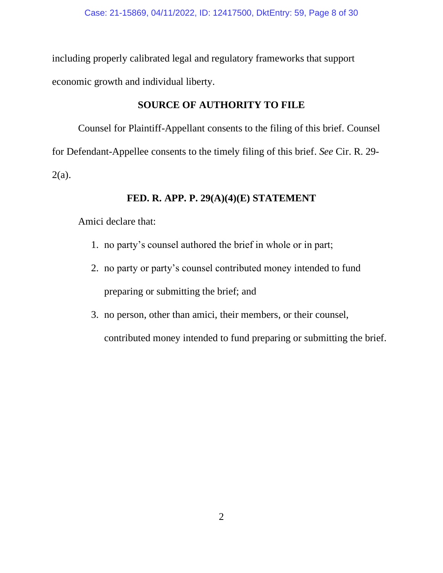including properly calibrated legal and regulatory frameworks that support economic growth and individual liberty.

# **SOURCE OF AUTHORITY TO FILE**

Counsel for Plaintiff-Appellant consents to the filing of this brief. Counsel for Defendant-Appellee consents to the timely filing of this brief. *See* Cir. R. 29-  $2(a)$ .

# **FED. R. APP. P. 29(A)(4)(E) STATEMENT**

Amici declare that:

- 1. no party's counsel authored the brief in whole or in part;
- 2. no party or party's counsel contributed money intended to fund preparing or submitting the brief; and
- 3. no person, other than amici, their members, or their counsel,

contributed money intended to fund preparing or submitting the brief.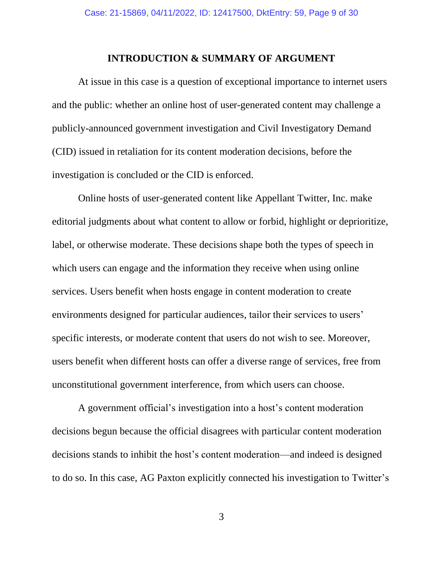#### **INTRODUCTION & SUMMARY OF ARGUMENT**

At issue in this case is a question of exceptional importance to internet users and the public: whether an online host of user-generated content may challenge a publicly-announced government investigation and Civil Investigatory Demand (CID) issued in retaliation for its content moderation decisions, before the investigation is concluded or the CID is enforced.

Online hosts of user-generated content like Appellant Twitter, Inc. make editorial judgments about what content to allow or forbid, highlight or deprioritize, label, or otherwise moderate. These decisions shape both the types of speech in which users can engage and the information they receive when using online services. Users benefit when hosts engage in content moderation to create environments designed for particular audiences, tailor their services to users' specific interests, or moderate content that users do not wish to see. Moreover, users benefit when different hosts can offer a diverse range of services, free from unconstitutional government interference, from which users can choose.

A government official's investigation into a host's content moderation decisions begun because the official disagrees with particular content moderation decisions stands to inhibit the host's content moderation—and indeed is designed to do so. In this case, AG Paxton explicitly connected his investigation to Twitter's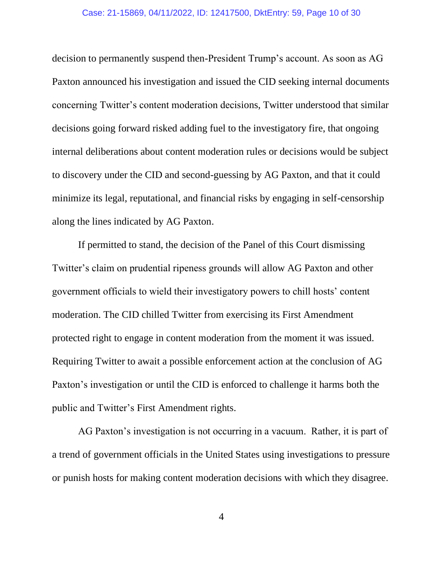#### Case: 21-15869, 04/11/2022, ID: 12417500, DktEntry: 59, Page 10 of 30

decision to permanently suspend then-President Trump's account. As soon as AG Paxton announced his investigation and issued the CID seeking internal documents concerning Twitter's content moderation decisions, Twitter understood that similar decisions going forward risked adding fuel to the investigatory fire, that ongoing internal deliberations about content moderation rules or decisions would be subject to discovery under the CID and second-guessing by AG Paxton, and that it could minimize its legal, reputational, and financial risks by engaging in self-censorship along the lines indicated by AG Paxton.

If permitted to stand, the decision of the Panel of this Court dismissing Twitter's claim on prudential ripeness grounds will allow AG Paxton and other government officials to wield their investigatory powers to chill hosts' content moderation. The CID chilled Twitter from exercising its First Amendment protected right to engage in content moderation from the moment it was issued. Requiring Twitter to await a possible enforcement action at the conclusion of AG Paxton's investigation or until the CID is enforced to challenge it harms both the public and Twitter's First Amendment rights.

AG Paxton's investigation is not occurring in a vacuum. Rather, it is part of a trend of government officials in the United States using investigations to pressure or punish hosts for making content moderation decisions with which they disagree.

4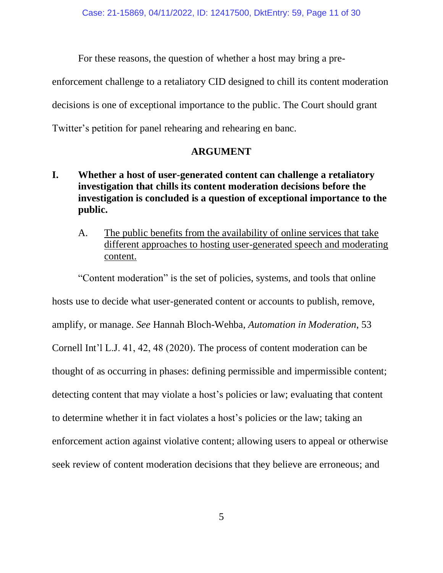For these reasons, the question of whether a host may bring a pre-

enforcement challenge to a retaliatory CID designed to chill its content moderation decisions is one of exceptional importance to the public. The Court should grant Twitter's petition for panel rehearing and rehearing en banc.

# **ARGUMENT**

# **I. Whether a host of user-generated content can challenge a retaliatory investigation that chills its content moderation decisions before the investigation is concluded is a question of exceptional importance to the public.**

A. The public benefits from the availability of online services that take different approaches to hosting user-generated speech and moderating content.

"Content moderation" is the set of policies, systems, and tools that online hosts use to decide what user-generated content or accounts to publish, remove, amplify, or manage. *See* Hannah Bloch-Wehba, *Automation in Moderation*, 53 Cornell Int'l L.J. 41, 42, 48 (2020). The process of content moderation can be thought of as occurring in phases: defining permissible and impermissible content; detecting content that may violate a host's policies or law; evaluating that content to determine whether it in fact violates a host's policies or the law; taking an enforcement action against violative content; allowing users to appeal or otherwise seek review of content moderation decisions that they believe are erroneous; and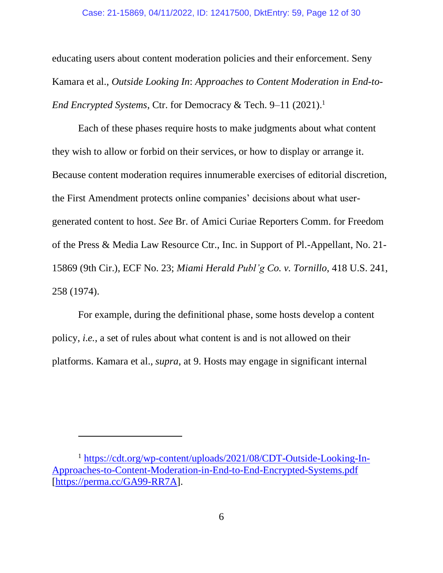#### Case: 21-15869, 04/11/2022, ID: 12417500, DktEntry: 59, Page 12 of 30

educating users about content moderation policies and their enforcement. Seny Kamara et al., *Outside Looking In*: *Approaches to Content Moderation in End-to-End Encrypted Systems*, Ctr. for Democracy & Tech. 9–11 (2021). 1

Each of these phases require hosts to make judgments about what content they wish to allow or forbid on their services, or how to display or arrange it. Because content moderation requires innumerable exercises of editorial discretion, the First Amendment protects online companies' decisions about what usergenerated content to host. *See* Br. of Amici Curiae Reporters Comm. for Freedom of the Press & Media Law Resource Ctr., Inc. in Support of Pl.-Appellant, No. 21- 15869 (9th Cir.), ECF No. 23; *Miami Herald Publ'g Co. v. Tornillo*, 418 U.S. 241, 258 (1974).

For example, during the definitional phase, some hosts develop a content policy, *i.e.*, a set of rules about what content is and is not allowed on their platforms. Kamara et al., *supra*, at 9. Hosts may engage in significant internal

<sup>1</sup> [https://cdt.org/wp-content/uploads/2021/08/CDT-Outside-Looking-In-](https://cdt.org/wp-content/uploads/2021/08/CDT-Outside-Looking-In-Approaches-to-Content-Moderation-in-End-to-End-Encrypted-Systems.pdf)[Approaches-to-Content-Moderation-in-End-to-End-Encrypted-Systems.pdf](https://cdt.org/wp-content/uploads/2021/08/CDT-Outside-Looking-In-Approaches-to-Content-Moderation-in-End-to-End-Encrypted-Systems.pdf) [\[https://perma.cc/GA99-RR7A\]](https://perma.cc/GA99-RR7A).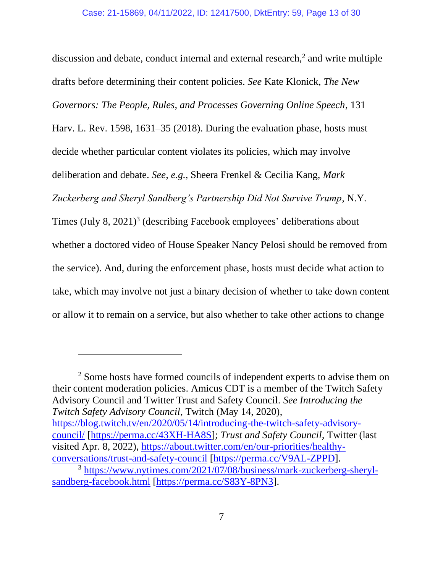discussion and debate, conduct internal and external research, $2$  and write multiple drafts before determining their content policies. *See* Kate Klonick, *The New Governors: The People, Rules, and Processes Governing Online Speech*, 131 Harv. L. Rev. 1598, 1631–35 (2018). During the evaluation phase, hosts must decide whether particular content violates its policies, which may involve deliberation and debate. *See, e.g.*, Sheera Frenkel & Cecilia Kang, *Mark Zuckerberg and Sheryl Sandberg's Partnership Did Not Survive Trump*, N.Y. Times (July 8, 2021)<sup>3</sup> (describing Facebook employees' deliberations about whether a doctored video of House Speaker Nancy Pelosi should be removed from the service). And, during the enforcement phase, hosts must decide what action to take, which may involve not just a binary decision of whether to take down content or allow it to remain on a service, but also whether to take other actions to change

<sup>2</sup> Some hosts have formed councils of independent experts to advise them on their content moderation policies. Amicus CDT is a member of the Twitch Safety Advisory Council and Twitter Trust and Safety Council. *See Introducing the Twitch Safety Advisory Council*, Twitch (May 14, 2020), [https://blog.twitch.tv/en/2020/05/14/introducing-the-twitch-safety-advisory](https://blog.twitch.tv/en/2020/05/14/introducing-the-twitch-safety-advisory-council/)[council/](https://blog.twitch.tv/en/2020/05/14/introducing-the-twitch-safety-advisory-council/) [\[https://perma.cc/43XH-HA8S\]](https://perma.cc/43XH-HA8S); *Trust and Safety Council*, Twitter (last visited Apr. 8, 2022), [https://about.twitter.com/en/our-priorities/healthy](https://about.twitter.com/en/our-priorities/healthy-conversations/trust-and-safety-council)[conversations/trust-and-safety-council](https://about.twitter.com/en/our-priorities/healthy-conversations/trust-and-safety-council) [\[https://perma.cc/V9AL-ZPPD\]](https://perma.cc/V9AL-ZPPD).

<sup>3</sup> [https://www.nytimes.com/2021/07/08/business/mark-zuckerberg-sheryl](https://www.nytimes.com/2021/07/08/business/mark-zuckerberg-sheryl-sandberg-facebook.html)[sandberg-facebook.html](https://www.nytimes.com/2021/07/08/business/mark-zuckerberg-sheryl-sandberg-facebook.html) [\[https://perma.cc/S83Y-8PN3\]](https://perma.cc/S83Y-8PN3).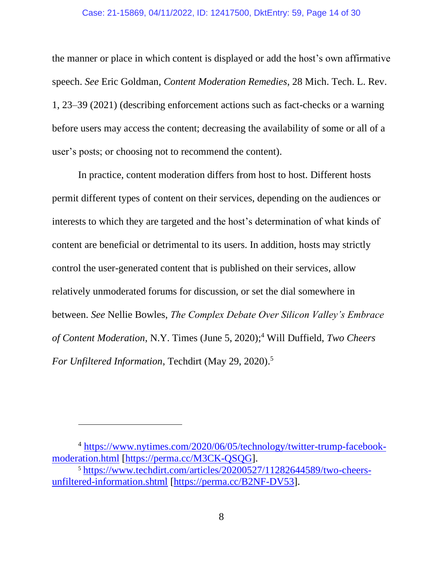#### Case: 21-15869, 04/11/2022, ID: 12417500, DktEntry: 59, Page 14 of 30

the manner or place in which content is displayed or add the host's own affirmative speech. *See* Eric Goldman*, Content Moderation Remedies*, 28 Mich. Tech. L. Rev. 1, 23–39 (2021) (describing enforcement actions such as fact-checks or a warning before users may access the content; decreasing the availability of some or all of a user's posts; or choosing not to recommend the content).

In practice, content moderation differs from host to host. Different hosts permit different types of content on their services, depending on the audiences or interests to which they are targeted and the host's determination of what kinds of content are beneficial or detrimental to its users. In addition, hosts may strictly control the user-generated content that is published on their services, allow relatively unmoderated forums for discussion, or set the dial somewhere in between. *See* Nellie Bowles, *The Complex Debate Over Silicon Valley's Embrace of Content Moderation*, N.Y. Times (June 5, 2020); <sup>4</sup> Will Duffield, *Two Cheers For Unfiltered Information*, Techdirt (May 29, 2020). 5

<sup>4</sup> [https://www.nytimes.com/2020/06/05/technology/twitter-trump-facebook](https://www.nytimes.com/2020/06/05/technology/twitter-trump-facebook-moderation.html)[moderation.html](https://www.nytimes.com/2020/06/05/technology/twitter-trump-facebook-moderation.html) [\[https://perma.cc/M3CK-QSQG\]](https://perma.cc/M3CK-QSQG).

<sup>5</sup> [https://www.techdirt.com/articles/20200527/11282644589/two-cheers](https://www.techdirt.com/articles/20200527/11282644589/two-cheers-unfiltered-information.shtml)[unfiltered-information.shtml](https://www.techdirt.com/articles/20200527/11282644589/two-cheers-unfiltered-information.shtml) [\[https://perma.cc/B2NF-DV53\]](https://perma.cc/B2NF-DV53).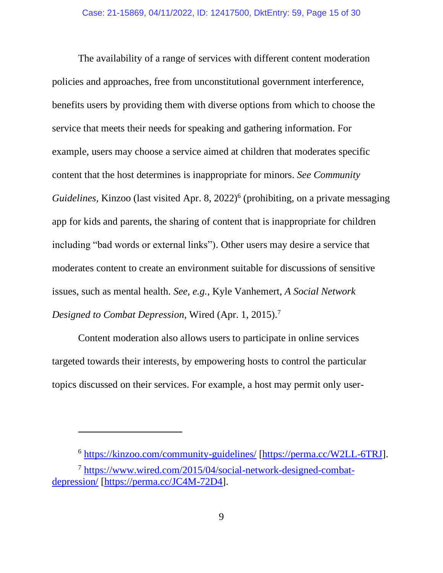The availability of a range of services with different content moderation policies and approaches, free from unconstitutional government interference, benefits users by providing them with diverse options from which to choose the service that meets their needs for speaking and gathering information. For example, users may choose a service aimed at children that moderates specific content that the host determines is inappropriate for minors. *See Community*  Guidelines, Kinzoo (last visited Apr. 8, 2022)<sup>6</sup> (prohibiting, on a private messaging app for kids and parents, the sharing of content that is inappropriate for children including "bad words or external links"). Other users may desire a service that moderates content to create an environment suitable for discussions of sensitive issues, such as mental health. *See, e.g.*, Kyle Vanhemert, *A Social Network Designed to Combat Depression*, Wired (Apr. 1, 2015). 7

Content moderation also allows users to participate in online services targeted towards their interests, by empowering hosts to control the particular topics discussed on their services. For example, a host may permit only user-

<sup>6</sup> <https://kinzoo.com/community-guidelines/> [\[https://perma.cc/W2LL-6TRJ\]](https://perma.cc/W2LL-6TRJ).

<sup>7</sup> [https://www.wired.com/2015/04/social-network-designed-combat](https://www.wired.com/2015/04/social-network-designed-combat-depression/)[depression/](https://www.wired.com/2015/04/social-network-designed-combat-depression/) [\[https://perma.cc/JC4M-72D4\]](https://perma.cc/JC4M-72D4).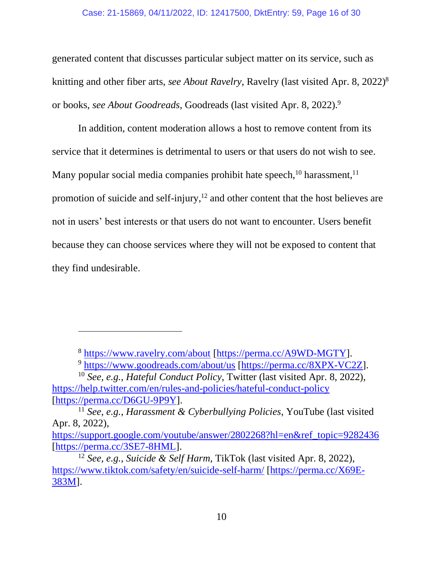#### Case: 21-15869, 04/11/2022, ID: 12417500, DktEntry: 59, Page 16 of 30

generated content that discusses particular subject matter on its service, such as knitting and other fiber arts, *see About Ravelry*, Ravelry (last visited Apr. 8, 2022) 8 or books, *see About Goodreads*, Goodreads (last visited Apr. 8, 2022). 9

In addition, content moderation allows a host to remove content from its service that it determines is detrimental to users or that users do not wish to see. Many popular social media companies prohibit hate speech,  $10$  harassment,  $11$ promotion of suicide and self-injury,<sup>12</sup> and other content that the host believes are not in users' best interests or that users do not want to encounter. Users benefit because they can choose services where they will not be exposed to content that they find undesirable.

<sup>8</sup> <https://www.ravelry.com/about> [\[https://perma.cc/A9WD-MGTY\]](https://perma.cc/A9WD-MGTY).

<sup>9</sup> <https://www.goodreads.com/about/us> [\[https://perma.cc/8XPX-VC2Z\]](https://perma.cc/8XPX-VC2Z).

<sup>10</sup> *See, e.g.*, *Hateful Conduct Policy*, Twitter (last visited Apr. 8, 2022), <https://help.twitter.com/en/rules-and-policies/hateful-conduct-policy> [\[https://perma.cc/D6GU-9P9Y\]](https://perma.cc/D6GU-9P9Y).

<sup>11</sup> *See, e.g.*, *Harassment & Cyberbullying Policies*, YouTube (last visited Apr. 8, 2022),

[https://support.google.com/youtube/answer/2802268?hl=en&ref\\_topic=9282436](https://support.google.com/youtube/answer/2802268?hl=en&ref_topic=9282436) [\[https://perma.cc/3SE7-8HML\]](https://perma.cc/3SE7-8HML).

<sup>12</sup> *See, e.g.*, *Suicide & Self Harm*, TikTok (last visited Apr. 8, 2022), <https://www.tiktok.com/safety/en/suicide-self-harm/> [\[https://perma.cc/X69E-](https://perma.cc/X69E-383M)[383M\]](https://perma.cc/X69E-383M).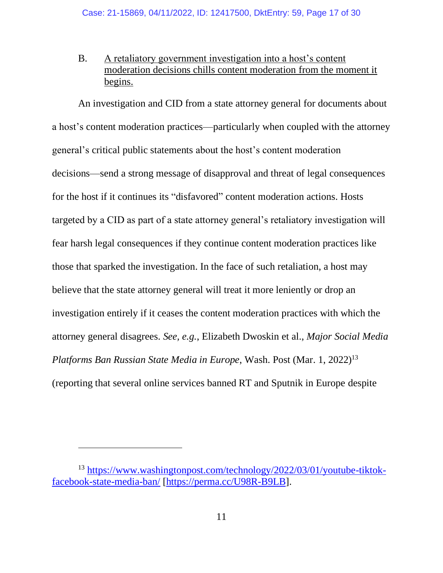B. A retaliatory government investigation into a host's content moderation decisions chills content moderation from the moment it begins.

An investigation and CID from a state attorney general for documents about a host's content moderation practices—particularly when coupled with the attorney general's critical public statements about the host's content moderation decisions—send a strong message of disapproval and threat of legal consequences for the host if it continues its "disfavored" content moderation actions. Hosts targeted by a CID as part of a state attorney general's retaliatory investigation will fear harsh legal consequences if they continue content moderation practices like those that sparked the investigation. In the face of such retaliation, a host may believe that the state attorney general will treat it more leniently or drop an investigation entirely if it ceases the content moderation practices with which the attorney general disagrees. *See, e.g.*, Elizabeth Dwoskin et al., *Major Social Media Platforms Ban Russian State Media in Europe*, Wash. Post (Mar. 1, 2022)<sup>13</sup> (reporting that several online services banned RT and Sputnik in Europe despite

<sup>13</sup> [https://www.washingtonpost.com/technology/2022/03/01/youtube-tiktok](https://www.washingtonpost.com/technology/2022/03/01/youtube-tiktok-facebook-state-media-ban/)[facebook-state-media-ban/](https://www.washingtonpost.com/technology/2022/03/01/youtube-tiktok-facebook-state-media-ban/) [\[https://perma.cc/U98R-B9LB\]](https://perma.cc/U98R-B9LB).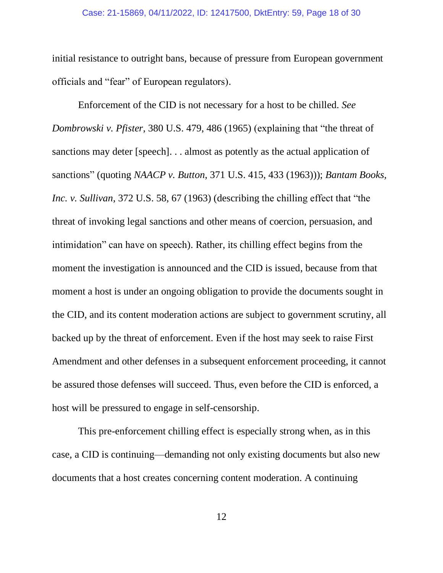#### Case: 21-15869, 04/11/2022, ID: 12417500, DktEntry: 59, Page 18 of 30

initial resistance to outright bans, because of pressure from European government officials and "fear" of European regulators).

Enforcement of the CID is not necessary for a host to be chilled. *See Dombrowski v. Pfister*, 380 U.S. 479, 486 (1965) (explaining that "the threat of sanctions may deter [speech]. . . almost as potently as the actual application of sanctions" (quoting *NAACP v. Button*, 371 U.S. 415, 433 (1963))); *Bantam Books, Inc. v. Sullivan*, 372 U.S. 58, 67 (1963) (describing the chilling effect that "the threat of invoking legal sanctions and other means of coercion, persuasion, and intimidation" can have on speech). Rather, its chilling effect begins from the moment the investigation is announced and the CID is issued, because from that moment a host is under an ongoing obligation to provide the documents sought in the CID, and its content moderation actions are subject to government scrutiny, all backed up by the threat of enforcement. Even if the host may seek to raise First Amendment and other defenses in a subsequent enforcement proceeding, it cannot be assured those defenses will succeed. Thus, even before the CID is enforced, a host will be pressured to engage in self-censorship.

This pre-enforcement chilling effect is especially strong when, as in this case, a CID is continuing—demanding not only existing documents but also new documents that a host creates concerning content moderation. A continuing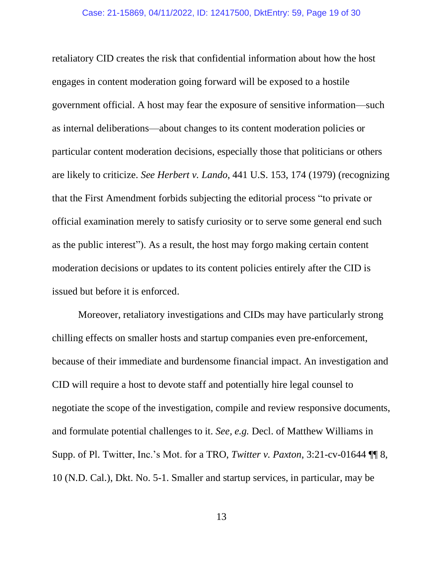retaliatory CID creates the risk that confidential information about how the host engages in content moderation going forward will be exposed to a hostile government official. A host may fear the exposure of sensitive information—such as internal deliberations—about changes to its content moderation policies or particular content moderation decisions, especially those that politicians or others are likely to criticize. *See Herbert v. Lando*, 441 U.S. 153, 174 (1979) (recognizing that the First Amendment forbids subjecting the editorial process "to private or official examination merely to satisfy curiosity or to serve some general end such as the public interest"). As a result, the host may forgo making certain content moderation decisions or updates to its content policies entirely after the CID is issued but before it is enforced.

Moreover, retaliatory investigations and CIDs may have particularly strong chilling effects on smaller hosts and startup companies even pre-enforcement, because of their immediate and burdensome financial impact. An investigation and CID will require a host to devote staff and potentially hire legal counsel to negotiate the scope of the investigation, compile and review responsive documents, and formulate potential challenges to it. *See, e.g.* Decl. of Matthew Williams in Supp. of Pl. Twitter, Inc.'s Mot. for a TRO, *Twitter v. Paxton*, 3:21-cv-01644 ¶¶ 8, 10 (N.D. Cal.), Dkt. No. 5-1. Smaller and startup services, in particular, may be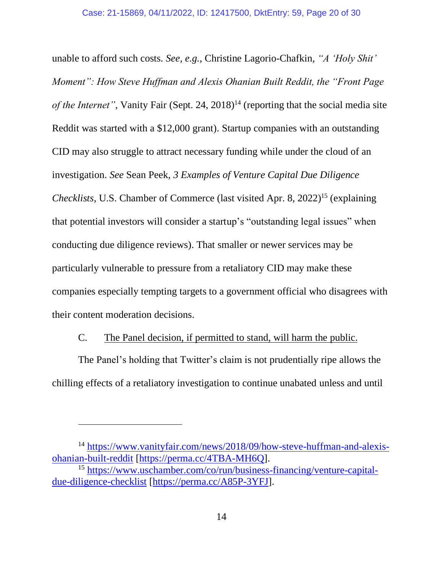unable to afford such costs. *See, e.g.*, Christine Lagorio-Chafkin, *"A 'Holy Shit' Moment": How Steve Huffman and Alexis Ohanian Built Reddit, the "Front Page of the Internet"*, Vanity Fair (Sept. 24, 2018)<sup>14</sup> (reporting that the social media site Reddit was started with a \$12,000 grant). Startup companies with an outstanding CID may also struggle to attract necessary funding while under the cloud of an investigation. *See* Sean Peek, *3 Examples of Venture Capital Due Diligence Checklists*, U.S. Chamber of Commerce (last visited Apr. 8, 2022) <sup>15</sup> (explaining that potential investors will consider a startup's "outstanding legal issues" when conducting due diligence reviews). That smaller or newer services may be particularly vulnerable to pressure from a retaliatory CID may make these companies especially tempting targets to a government official who disagrees with their content moderation decisions.

# C. The Panel decision, if permitted to stand, will harm the public.

The Panel's holding that Twitter's claim is not prudentially ripe allows the chilling effects of a retaliatory investigation to continue unabated unless and until

<sup>&</sup>lt;sup>14</sup> [https://www.vanityfair.com/news/2018/09/how-steve-huffman-and-alexis](https://www.vanityfair.com/news/2018/09/how-steve-huffman-and-alexis-ohanian-built-reddit)[ohanian-built-reddit](https://www.vanityfair.com/news/2018/09/how-steve-huffman-and-alexis-ohanian-built-reddit) [\[https://perma.cc/4TBA-MH6Q\]](https://perma.cc/4TBA-MH6Q).

<sup>15</sup> [https://www.uschamber.com/co/run/business-financing/venture-capital](https://www.uschamber.com/co/run/business-financing/venture-capital-due-diligence-checklist)[due-diligence-checklist](https://www.uschamber.com/co/run/business-financing/venture-capital-due-diligence-checklist) [\[https://perma.cc/A85P-3YFJ\]](https://perma.cc/A85P-3YFJ).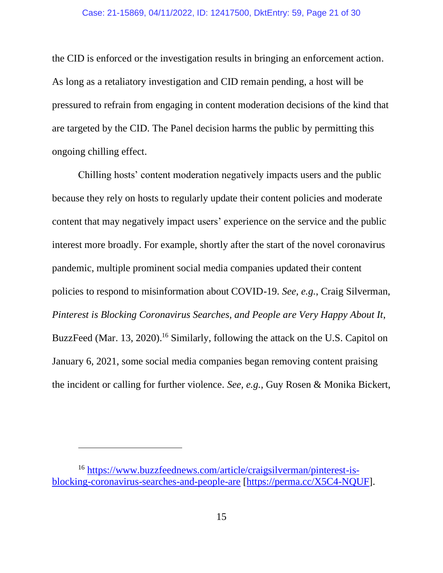#### Case: 21-15869, 04/11/2022, ID: 12417500, DktEntry: 59, Page 21 of 30

the CID is enforced or the investigation results in bringing an enforcement action. As long as a retaliatory investigation and CID remain pending, a host will be pressured to refrain from engaging in content moderation decisions of the kind that are targeted by the CID. The Panel decision harms the public by permitting this ongoing chilling effect.

Chilling hosts' content moderation negatively impacts users and the public because they rely on hosts to regularly update their content policies and moderate content that may negatively impact users' experience on the service and the public interest more broadly. For example, shortly after the start of the novel coronavirus pandemic, multiple prominent social media companies updated their content policies to respond to misinformation about COVID-19. *See, e.g.*, Craig Silverman, *Pinterest is Blocking Coronavirus Searches, and People are Very Happy About It*, BuzzFeed (Mar. 13, 2020).<sup>16</sup> Similarly, following the attack on the U.S. Capitol on January 6, 2021, some social media companies began removing content praising the incident or calling for further violence. *See, e.g.*, Guy Rosen & Monika Bickert,

<sup>16</sup> [https://www.buzzfeednews.com/article/craigsilverman/pinterest-is](https://www.buzzfeednews.com/article/craigsilverman/pinterest-is-blocking-coronavirus-searches-and-people-are)[blocking-coronavirus-searches-and-people-are](https://www.buzzfeednews.com/article/craigsilverman/pinterest-is-blocking-coronavirus-searches-and-people-are) [\[https://perma.cc/X5C4-NQUF\]](https://perma.cc/X5C4-NQUF).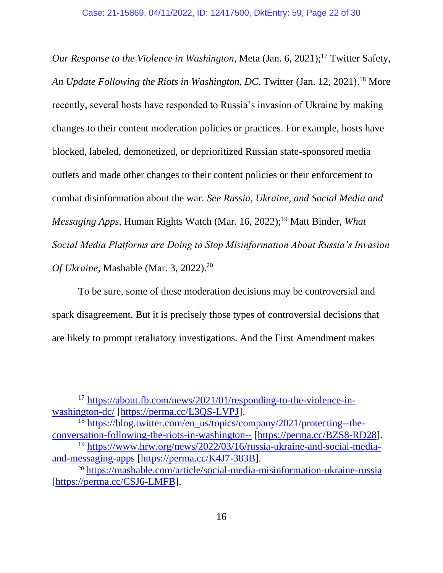*Our Response to the Violence in Washington*, Meta (Jan. 6, 2021); <sup>17</sup> Twitter Safety, *An Update Following the Riots in Washington, DC*, Twitter (Jan. 12, 2021). <sup>18</sup> More recently, several hosts have responded to Russia's invasion of Ukraine by making changes to their content moderation policies or practices. For example, hosts have blocked, labeled, demonetized, or deprioritized Russian state-sponsored media outlets and made other changes to their content policies or their enforcement to combat disinformation about the war. *See Russia, Ukraine, and Social Media and Messaging Apps*, Human Rights Watch (Mar. 16, 2022); <sup>19</sup> Matt Binder, *What Social Media Platforms are Doing to Stop Misinformation About Russia's Invasion Of Ukraine*, Mashable (Mar. 3, 2022). 20

To be sure, some of these moderation decisions may be controversial and spark disagreement. But it is precisely those types of controversial decisions that are likely to prompt retaliatory investigations. And the First Amendment makes

<sup>17</sup> [https://about.fb.com/news/2021/01/responding-to-the-violence-in](https://about.fb.com/news/2021/01/responding-to-the-violence-in-washington-dc/)[washington-dc/](https://about.fb.com/news/2021/01/responding-to-the-violence-in-washington-dc/) [\[https://perma.cc/L3QS-LVPJ\]](https://perma.cc/L3QS-LVPJ).

<sup>&</sup>lt;sup>18</sup> [https://blog.twitter.com/en\\_us/topics/company/2021/protecting--the](https://blog.twitter.com/en_us/topics/company/2021/protecting--the-conversation-following-the-riots-in-washington--)[conversation-following-the-riots-in-washington--](https://blog.twitter.com/en_us/topics/company/2021/protecting--the-conversation-following-the-riots-in-washington--) [\[https://perma.cc/BZS8-RD28\]](https://perma.cc/BZS8-RD28).

<sup>19</sup> [https://www.hrw.org/news/2022/03/16/russia-ukraine-and-social-media](https://www.hrw.org/news/2022/03/16/russia-ukraine-and-social-media-and-messaging-apps)[and-messaging-apps](https://www.hrw.org/news/2022/03/16/russia-ukraine-and-social-media-and-messaging-apps) [\[https://perma.cc/K4J7-383B\]](https://perma.cc/K4J7-383B).

<sup>20</sup> <https://mashable.com/article/social-media-misinformation-ukraine-russia> [\[https://perma.cc/CSJ6-LMFB\]](https://perma.cc/CSJ6-LMFB).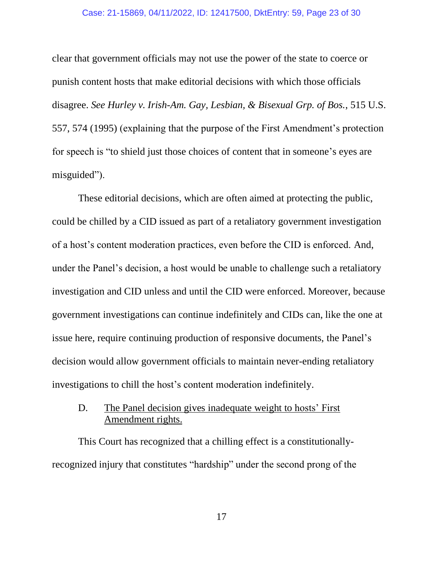#### Case: 21-15869, 04/11/2022, ID: 12417500, DktEntry: 59, Page 23 of 30

clear that government officials may not use the power of the state to coerce or punish content hosts that make editorial decisions with which those officials disagree. *See Hurley v. Irish-Am. Gay, Lesbian, & Bisexual Grp. of Bos.*, 515 U.S. 557, 574 (1995) (explaining that the purpose of the First Amendment's protection for speech is "to shield just those choices of content that in someone's eyes are misguided").

These editorial decisions, which are often aimed at protecting the public, could be chilled by a CID issued as part of a retaliatory government investigation of a host's content moderation practices, even before the CID is enforced. And, under the Panel's decision, a host would be unable to challenge such a retaliatory investigation and CID unless and until the CID were enforced. Moreover, because government investigations can continue indefinitely and CIDs can, like the one at issue here, require continuing production of responsive documents, the Panel's decision would allow government officials to maintain never-ending retaliatory investigations to chill the host's content moderation indefinitely.

# D. The Panel decision gives inadequate weight to hosts' First Amendment rights.

This Court has recognized that a chilling effect is a constitutionallyrecognized injury that constitutes "hardship" under the second prong of the

17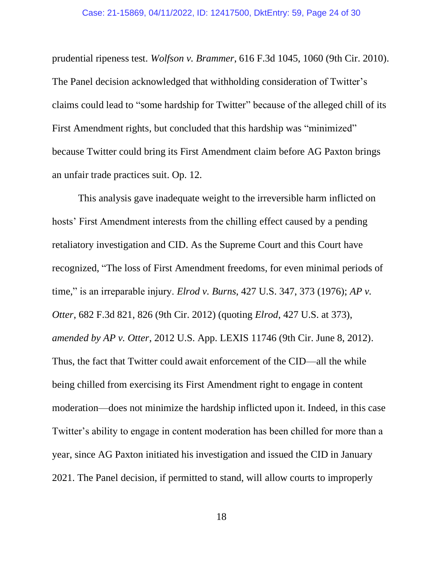prudential ripeness test. *Wolfson v. Brammer*, 616 F.3d 1045, 1060 (9th Cir. 2010). The Panel decision acknowledged that withholding consideration of Twitter's claims could lead to "some hardship for Twitter" because of the alleged chill of its First Amendment rights, but concluded that this hardship was "minimized" because Twitter could bring its First Amendment claim before AG Paxton brings an unfair trade practices suit. Op. 12.

This analysis gave inadequate weight to the irreversible harm inflicted on hosts' First Amendment interests from the chilling effect caused by a pending retaliatory investigation and CID. As the Supreme Court and this Court have recognized, "The loss of First Amendment freedoms, for even minimal periods of time," is an irreparable injury. *Elrod v. Burns*, 427 U.S. 347, 373 (1976); *AP v. Otter*, 682 F.3d 821, 826 (9th Cir. 2012) (quoting *Elrod*, 427 U.S. at 373), *amended by AP v. Otter*, 2012 U.S. App. LEXIS 11746 (9th Cir. June 8, 2012). Thus, the fact that Twitter could await enforcement of the CID—all the while being chilled from exercising its First Amendment right to engage in content moderation—does not minimize the hardship inflicted upon it. Indeed, in this case Twitter's ability to engage in content moderation has been chilled for more than a year, since AG Paxton initiated his investigation and issued the CID in January 2021. The Panel decision, if permitted to stand, will allow courts to improperly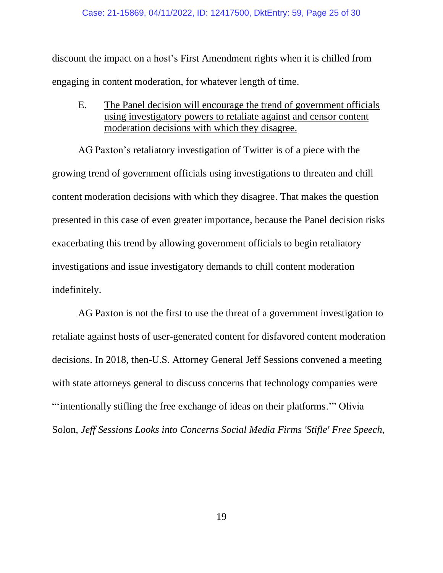discount the impact on a host's First Amendment rights when it is chilled from engaging in content moderation, for whatever length of time.

E. The Panel decision will encourage the trend of government officials using investigatory powers to retaliate against and censor content moderation decisions with which they disagree.

AG Paxton's retaliatory investigation of Twitter is of a piece with the growing trend of government officials using investigations to threaten and chill content moderation decisions with which they disagree. That makes the question presented in this case of even greater importance, because the Panel decision risks exacerbating this trend by allowing government officials to begin retaliatory investigations and issue investigatory demands to chill content moderation indefinitely.

AG Paxton is not the first to use the threat of a government investigation to retaliate against hosts of user-generated content for disfavored content moderation decisions. In 2018, then-U.S. Attorney General Jeff Sessions convened a meeting with state attorneys general to discuss concerns that technology companies were "'intentionally stifling the free exchange of ideas on their platforms.'" Olivia Solon, *Jeff Sessions Looks into Concerns Social Media Firms 'Stifle' Free Speech*,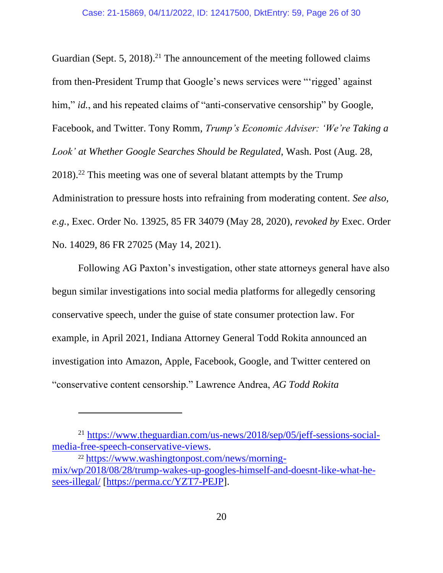Guardian (Sept. 5, 2018).<sup>21</sup> The announcement of the meeting followed claims from then-President Trump that Google's news services were "'rigged' against him," *id.*, and his repeated claims of "anti-conservative censorship" by Google, Facebook, and Twitter. Tony Romm, *Trump's Economic Adviser: 'We're Taking a Look' at Whether Google Searches Should be Regulated*, Wash. Post (Aug. 28, 2018). <sup>22</sup> This meeting was one of several blatant attempts by the Trump Administration to pressure hosts into refraining from moderating content. *See also, e.g.*, Exec. Order No. 13925, 85 FR 34079 (May 28, 2020), *revoked by* Exec. Order No. 14029, 86 FR 27025 (May 14, 2021).

Following AG Paxton's investigation, other state attorneys general have also begun similar investigations into social media platforms for allegedly censoring conservative speech, under the guise of state consumer protection law. For example, in April 2021, Indiana Attorney General Todd Rokita announced an investigation into Amazon, Apple, Facebook, Google, and Twitter centered on "conservative content censorship." Lawrence Andrea, *AG Todd Rokita* 

<sup>21</sup> [https://www.theguardian.com/us-news/2018/sep/05/jeff-sessions-social](https://www.theguardian.com/us-news/2018/sep/05/jeff-sessions-social-media-free-speech-conservative-views)[media-free-speech-conservative-views.](https://www.theguardian.com/us-news/2018/sep/05/jeff-sessions-social-media-free-speech-conservative-views)

<sup>22</sup> [https://www.washingtonpost.com/news/morning](https://www.washingtonpost.com/news/morning-mix/wp/2018/08/28/trump-wakes-up-googles-himself-and-doesnt-like-what-he-sees-illegal/)[mix/wp/2018/08/28/trump-wakes-up-googles-himself-and-doesnt-like-what-he](https://www.washingtonpost.com/news/morning-mix/wp/2018/08/28/trump-wakes-up-googles-himself-and-doesnt-like-what-he-sees-illegal/)[sees-illegal/](https://www.washingtonpost.com/news/morning-mix/wp/2018/08/28/trump-wakes-up-googles-himself-and-doesnt-like-what-he-sees-illegal/) [\[https://perma.cc/YZT7-PEJP\]](https://perma.cc/YZT7-PEJP).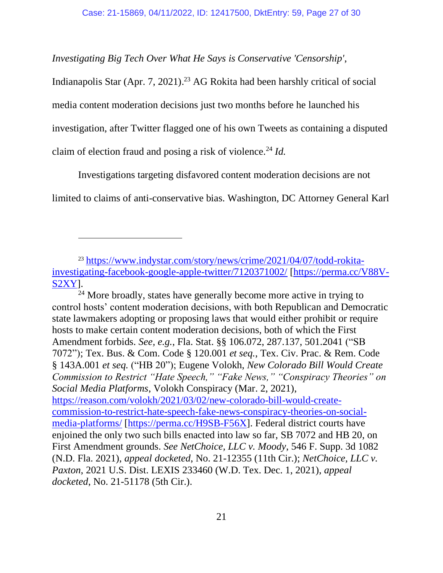*Investigating Big Tech Over What He Says is Conservative 'Censorship'*,

Indianapolis Star (Apr. 7, 2021). <sup>23</sup> AG Rokita had been harshly critical of social media content moderation decisions just two months before he launched his investigation, after Twitter flagged one of his own Tweets as containing a disputed claim of election fraud and posing a risk of violence.<sup>24</sup> *Id.*

Investigations targeting disfavored content moderation decisions are not limited to claims of anti-conservative bias. Washington, DC Attorney General Karl

<sup>24</sup> More broadly, states have generally become more active in trying to control hosts' content moderation decisions, with both Republican and Democratic state lawmakers adopting or proposing laws that would either prohibit or require hosts to make certain content moderation decisions, both of which the First Amendment forbids. *See, e.g.*, Fla. Stat. §§ 106.072, 287.137, 501.2041 ("SB 7072"); Tex. Bus. & Com. Code § 120.001 *et seq.*, Tex. Civ. Prac. & Rem. Code § 143A.001 *et seq.* ("HB 20"); Eugene Volokh, *New Colorado Bill Would Create Commission to Restrict "Hate Speech," "Fake News," "Conspiracy Theories" on Social Media Platforms*, Volokh Conspiracy (Mar. 2, 2021), [https://reason.com/volokh/2021/03/02/new-colorado-bill-would-create](https://reason.com/volokh/2021/03/02/new-colorado-bill-would-create-commission-to-restrict-hate-speech-fake-news-conspiracy-theories-on-social-media-platforms/)[commission-to-restrict-hate-speech-fake-news-conspiracy-theories-on-social](https://reason.com/volokh/2021/03/02/new-colorado-bill-would-create-commission-to-restrict-hate-speech-fake-news-conspiracy-theories-on-social-media-platforms/)[media-platforms/](https://reason.com/volokh/2021/03/02/new-colorado-bill-would-create-commission-to-restrict-hate-speech-fake-news-conspiracy-theories-on-social-media-platforms/) [\[https://perma.cc/H9SB-F56X\]](https://perma.cc/H9SB-F56X). Federal district courts have enjoined the only two such bills enacted into law so far, SB 7072 and HB 20, on First Amendment grounds. *See NetChoice, LLC v. Moody*, 546 F. Supp. 3d 1082 (N.D. Fla. 2021), *appeal docketed*, No. 21-12355 (11th Cir.); *NetChoice, LLC v. Paxton*, 2021 U.S. Dist. LEXIS 233460 (W.D. Tex. Dec. 1, 2021), *appeal docketed*, No. 21-51178 (5th Cir.).

<sup>23</sup> [https://www.indystar.com/story/news/crime/2021/04/07/todd-rokita](https://www.indystar.com/story/news/crime/2021/04/07/todd-rokita-investigating-facebook-google-apple-twitter/7120371002/)[investigating-facebook-google-apple-twitter/7120371002/](https://www.indystar.com/story/news/crime/2021/04/07/todd-rokita-investigating-facebook-google-apple-twitter/7120371002/) [\[https://perma.cc/V88V-](https://perma.cc/V88V-S2XY)[S2XY\]](https://perma.cc/V88V-S2XY).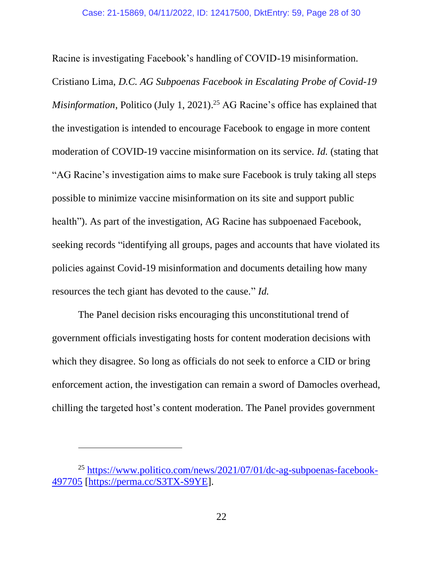Racine is investigating Facebook's handling of COVID-19 misinformation.

Cristiano Lima, *D.C. AG Subpoenas Facebook in Escalating Probe of Covid-19 Misinformation*, Politico (July 1, 2021). <sup>25</sup> AG Racine's office has explained that the investigation is intended to encourage Facebook to engage in more content moderation of COVID-19 vaccine misinformation on its service. *Id.* (stating that "AG Racine's investigation aims to make sure Facebook is truly taking all steps possible to minimize vaccine misinformation on its site and support public health"). As part of the investigation, AG Racine has subpoenaed Facebook, seeking records "identifying all groups, pages and accounts that have violated its policies against Covid-19 misinformation and documents detailing how many resources the tech giant has devoted to the cause." *Id.*

The Panel decision risks encouraging this unconstitutional trend of government officials investigating hosts for content moderation decisions with which they disagree. So long as officials do not seek to enforce a CID or bring enforcement action, the investigation can remain a sword of Damocles overhead, chilling the targeted host's content moderation. The Panel provides government

<sup>25</sup> [https://www.politico.com/news/2021/07/01/dc-ag-subpoenas-facebook-](https://www.politico.com/news/2021/07/01/dc-ag-subpoenas-facebook-497705)[497705](https://www.politico.com/news/2021/07/01/dc-ag-subpoenas-facebook-497705) [\[https://perma.cc/S3TX-S9YE\]](https://perma.cc/S3TX-S9YE).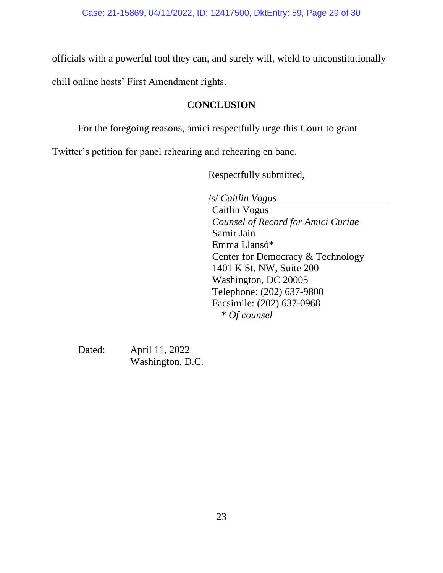officials with a powerful tool they can, and surely will, wield to unconstitutionally

chill online hosts' First Amendment rights.

# **CONCLUSION**

For the foregoing reasons, amici respectfully urge this Court to grant

Twitter's petition for panel rehearing and rehearing en banc.

Respectfully submitted,

/s/ *Caitlin Vogus*  Caitlin Vogus *Counsel of Record for Amici Curiae* Samir Jain Emma Llansó\* Center for Democracy & Technology 1401 K St. NW, Suite 200 Washington, DC 20005 Telephone: (202) 637-9800 Facsimile: (202) 637-0968 \* *Of counsel*

Dated: April 11, 2022 Washington, D.C.